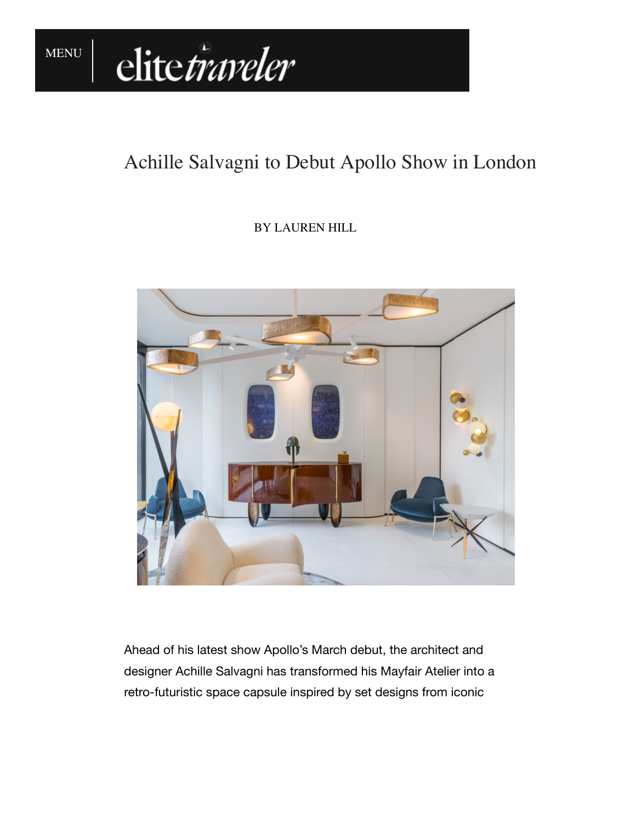

## Achille Salvagni to Debut Apollo Show in London

## BY LAUREN HILL



Ahead of his latest show Apollo's March debut, the architect and designer Achille Salvagni has transformed his Mayfair Atelier into a retro-futuristic space capsule inspired by set designs from iconic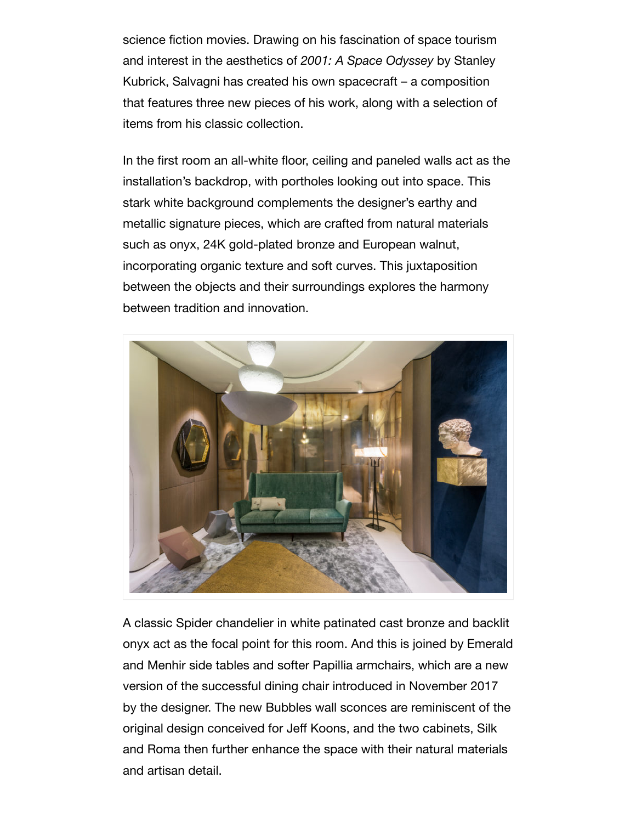science fiction movies. Drawing on his fascination of space tourism and interest in the aesthetics of *2001: A Space Odyssey* by Stanley Kubrick, Salvagni has created his own spacecraft – a composition that features three new pieces of his work, along with a selection of items from his classic collection.

In the first room an all-white floor, ceiling and paneled walls act as the installation's backdrop, with portholes looking out into space. This stark white background complements the designer's earthy and metallic signature pieces, which are crafted from natural materials such as onyx, 24K gold-plated bronze and European walnut, incorporating organic texture and soft curves. This juxtaposition between the objects and their surroundings explores the harmony between tradition and innovation.



A classic Spider chandelier in white patinated cast bronze and backlit onyx act as the focal point for this room. And this is joined by Emerald and Menhir side tables and softer Papillia armchairs, which are a new version of the successful dining chair introduced in November 2017 by the designer. The new Bubbles wall sconces are reminiscent of the original design conceived for Jeff Koons, and the two cabinets, Silk and Roma then further enhance the space with their natural materials and artisan detail.